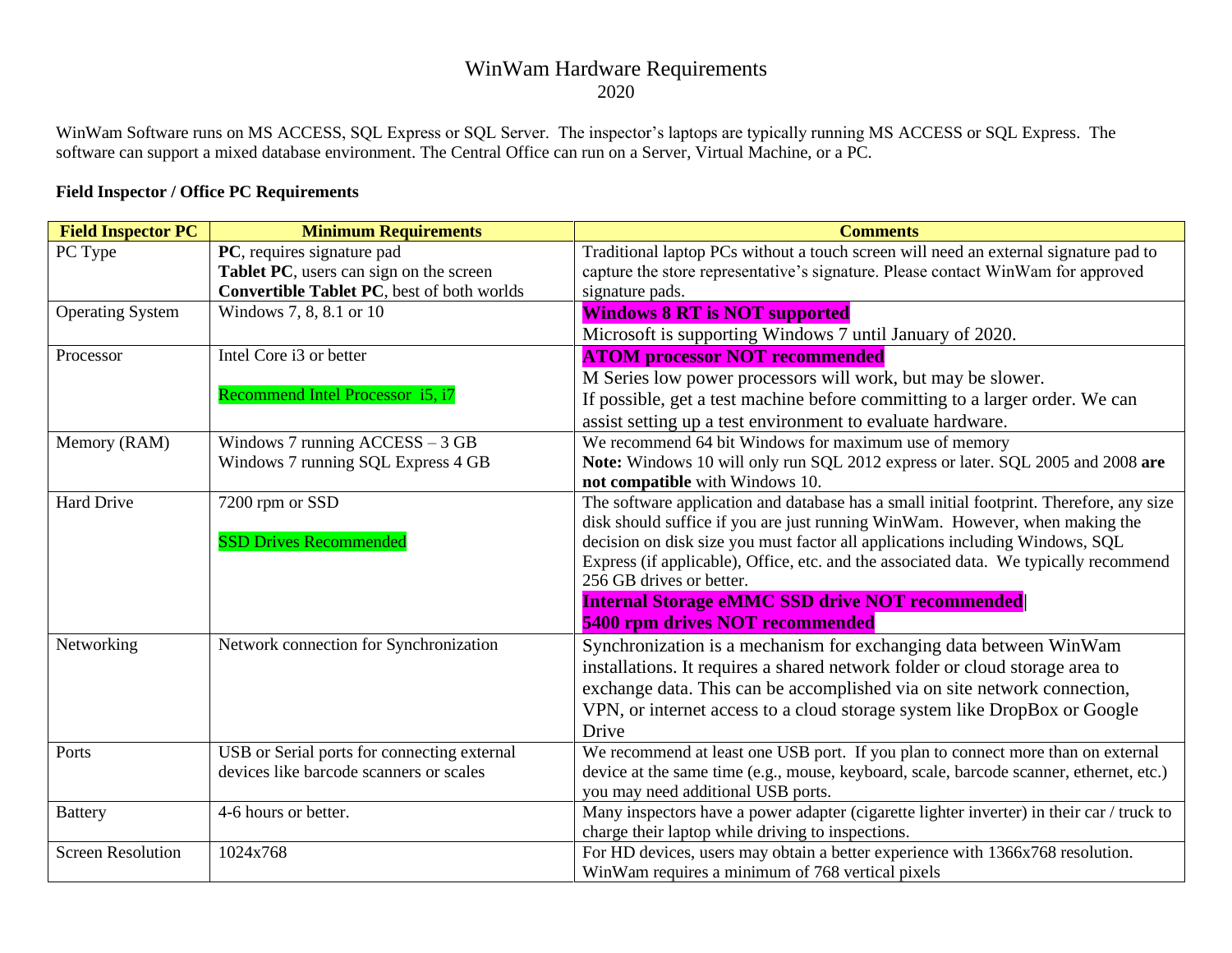## WinWam Hardware Requirements

2020

WinWam Software runs on MS ACCESS, SQL Express or SQL Server. The inspector's laptops are typically running MS ACCESS or SQL Express. The software can support a mixed database environment. The Central Office can run on a Server, Virtual Machine, or a PC.

## **Field Inspector / Office PC Requirements**

| <b>Field Inspector PC</b> | <b>Minimum Requirements</b>                 | <b>Comments</b>                                                                           |
|---------------------------|---------------------------------------------|-------------------------------------------------------------------------------------------|
| PC Type                   | PC, requires signature pad                  | Traditional laptop PCs without a touch screen will need an external signature pad to      |
|                           | Tablet PC, users can sign on the screen     | capture the store representative's signature. Please contact WinWam for approved          |
|                           | Convertible Tablet PC, best of both worlds  | signature pads.                                                                           |
| <b>Operating System</b>   | Windows 7, 8, 8.1 or 10                     | <b>Windows 8 RT is NOT supported</b>                                                      |
|                           |                                             | Microsoft is supporting Windows 7 until January of 2020.                                  |
| Processor                 | Intel Core i3 or better                     | <b>ATOM processor NOT recommended</b>                                                     |
|                           |                                             | M Series low power processors will work, but may be slower.                               |
|                           | Recommend Intel Processor i5, i7            | If possible, get a test machine before committing to a larger order. We can               |
|                           |                                             | assist setting up a test environment to evaluate hardware.                                |
| Memory (RAM)              | Windows 7 running $ACCESS - 3 GB$           | We recommend 64 bit Windows for maximum use of memory                                     |
|                           | Windows 7 running SQL Express 4 GB          | Note: Windows 10 will only run SQL 2012 express or later. SQL 2005 and 2008 are           |
|                           |                                             | not compatible with Windows 10.                                                           |
| <b>Hard Drive</b>         | 7200 rpm or SSD                             | The software application and database has a small initial footprint. Therefore, any size  |
|                           |                                             | disk should suffice if you are just running WinWam. However, when making the              |
|                           | <b>SSD Drives Recommended</b>               | decision on disk size you must factor all applications including Windows, SQL             |
|                           |                                             | Express (if applicable), Office, etc. and the associated data. We typically recommend     |
|                           |                                             | 256 GB drives or better.                                                                  |
|                           |                                             | <b>Internal Storage eMMC SSD drive NOT recommended</b>                                    |
|                           |                                             | 5400 rpm drives NOT recommended                                                           |
| Networking                | Network connection for Synchronization      | Synchronization is a mechanism for exchanging data between WinWam                         |
|                           |                                             | installations. It requires a shared network folder or cloud storage area to               |
|                           |                                             | exchange data. This can be accomplished via on site network connection,                   |
|                           |                                             | VPN, or internet access to a cloud storage system like DropBox or Google                  |
|                           |                                             | Drive                                                                                     |
| Ports                     | USB or Serial ports for connecting external | We recommend at least one USB port. If you plan to connect more than on external          |
|                           | devices like barcode scanners or scales     | device at the same time (e.g., mouse, keyboard, scale, barcode scanner, ethernet, etc.)   |
|                           |                                             | you may need additional USB ports.                                                        |
| <b>Battery</b>            | 4-6 hours or better.                        | Many inspectors have a power adapter (cigarette lighter inverter) in their car / truck to |
|                           |                                             | charge their laptop while driving to inspections.                                         |
| <b>Screen Resolution</b>  | 1024x768                                    | For HD devices, users may obtain a better experience with 1366x768 resolution.            |
|                           |                                             | WinWam requires a minimum of 768 vertical pixels                                          |